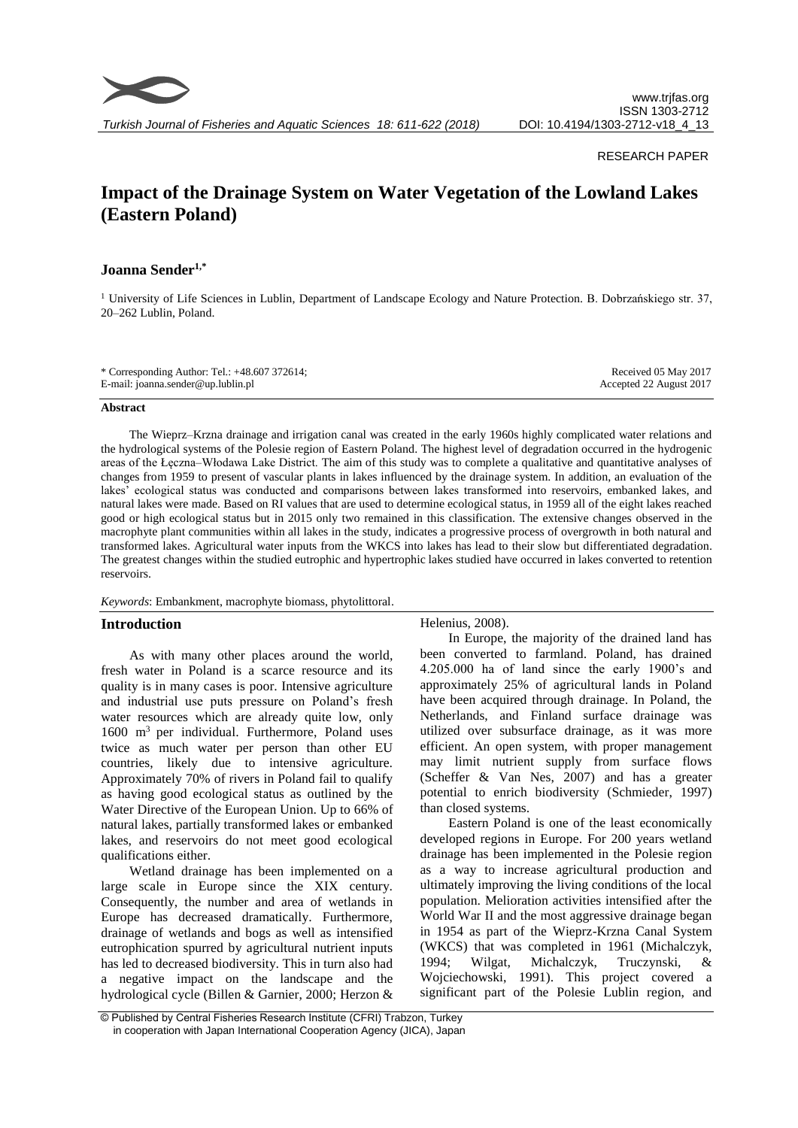

#### RESEARCH PAPER

# **Impact of the Drainage System on Water Vegetation of the Lowland Lakes (Eastern Poland)**

## **Joanna Sender1,\***

<sup>1</sup> University of Life Sciences in Lublin, Department of Landscape Ecology and Nature Protection. B. Dobrzańskiego str. 37, 20–262 Lublin, Poland.

| * Corresponding Author: Tel.: $+48.607372614$ ; | Received 05 May 2017    |
|-------------------------------------------------|-------------------------|
| E-mail: joanna.sender@up.lublin.pl              | Accepted 22 August 2017 |

#### **Abstract**

The Wieprz–Krzna drainage and irrigation canal was created in the early 1960s highly complicated water relations and the hydrological systems of the Polesie region of Eastern Poland. The highest level of degradation occurred in the hydrogenic areas of the Łęczna–Włodawa Lake District. The aim of this study was to complete a qualitative and quantitative analyses of changes from 1959 to present of vascular plants in lakes influenced by the drainage system. In addition, an evaluation of the lakes' ecological status was conducted and comparisons between lakes transformed into reservoirs, embanked lakes, and natural lakes were made. Based on RI values that are used to determine ecological status, in 1959 all of the eight lakes reached good or high ecological status but in 2015 only two remained in this classification. The extensive changes observed in the macrophyte plant communities within all lakes in the study, indicates a progressive process of overgrowth in both natural and transformed lakes. Agricultural water inputs from the WKCS into lakes has lead to their slow but differentiated degradation. The greatest changes within the studied eutrophic and hypertrophic lakes studied have occurred in lakes converted to retention reservoirs.

*Keywords*: Embankment, macrophyte biomass, phytolittoral.

## **Introduction**

As with many other places around the world, fresh water in Poland is a scarce resource and its quality is in many cases is poor. Intensive agriculture and industrial use puts pressure on Poland's fresh water resources which are already quite low, only  $1600$  m<sup>3</sup> per individual. Furthermore, Poland uses twice as much water per person than other EU countries, likely due to intensive agriculture. Approximately 70% of rivers in Poland fail to qualify as having good ecological status as outlined by the Water Directive of the European Union. Up to 66% of natural lakes, partially transformed lakes or embanked lakes, and reservoirs do not meet good ecological qualifications either.

Wetland drainage has been implemented on a large scale in Europe since the XIX century. Consequently, the number and area of wetlands in Europe has decreased dramatically. Furthermore, drainage of wetlands and bogs as well as intensified eutrophication spurred by agricultural nutrient inputs has led to decreased biodiversity. This in turn also had a negative impact on the landscape and the hydrological cycle (Billen & Garnier, 2000; Herzon & Helenius, 2008).

In Europe, the majority of the drained land has been converted to farmland. Poland, has drained 4.205.000 ha of land since the early 1900's and approximately 25% of agricultural lands in Poland have been acquired through drainage. In Poland, the Netherlands, and Finland surface drainage was utilized over subsurface drainage, as it was more efficient. An open system, with proper management may limit nutrient supply from surface flows (Scheffer & Van Nes, 2007) and has a greater potential to enrich biodiversity (Schmieder, 1997) than closed systems.

Eastern Poland is one of the least economically developed regions in Europe. For 200 years wetland drainage has been implemented in the Polesie region as a way to increase agricultural production and ultimately improving the living conditions of the local population. Melioration activities intensified after the World War II and the most aggressive drainage began in 1954 as part of the Wieprz-Krzna Canal System (WKCS) that was completed in 1961 (Michalczyk, 1994; Wilgat, Michalczyk, Truczynski, & Wojciechowski, 1991). This project covered a significant part of the Polesie Lublin region, and

<sup>©</sup> Published by Central Fisheries Research Institute (CFRI) Trabzon, Turkey in cooperation with Japan International Cooperation Agency (JICA), Japan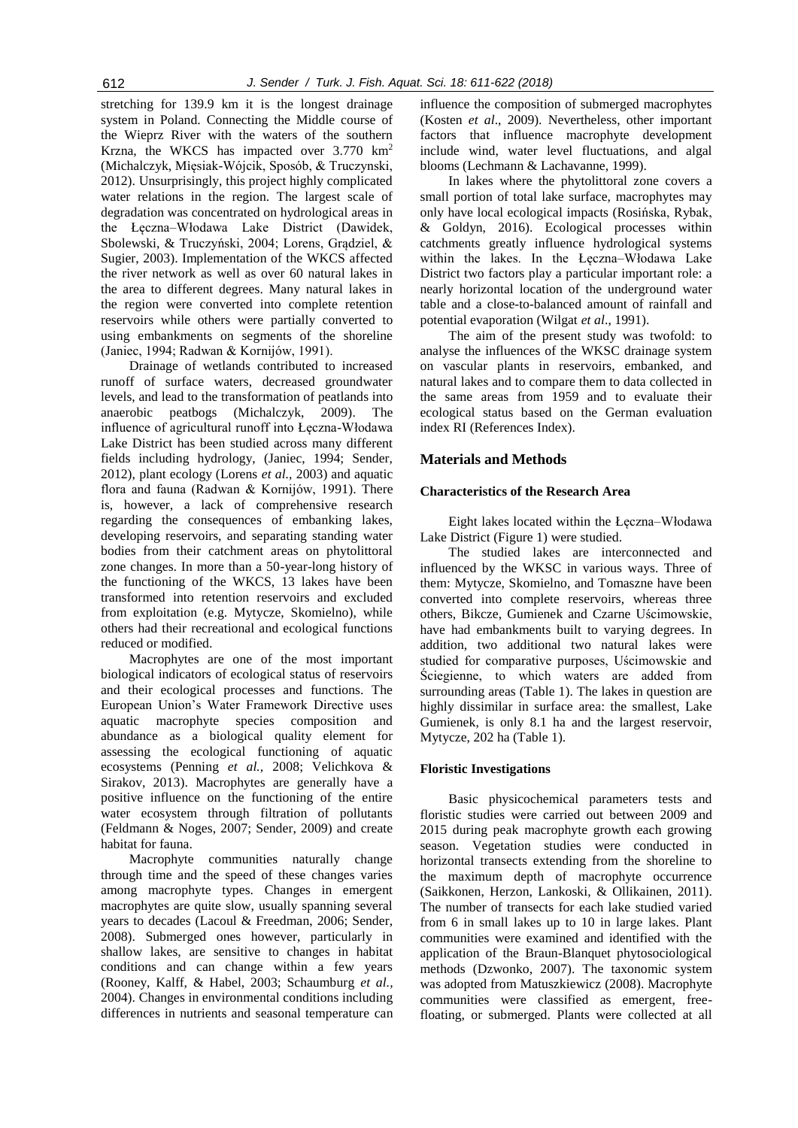stretching for 139.9 km it is the longest drainage system in Poland. Connecting the Middle course of the Wieprz River with the waters of the southern Krzna, the WKCS has impacted over 3.770 km<sup>2</sup> (Michalczyk, Mięsiak-Wójcik, Sposób, & Truczynski, 2012). Unsurprisingly, this project highly complicated water relations in the region. The largest scale of degradation was concentrated on hydrological areas in the Łęczna–Włodawa Lake District (Dawidek, Sbolewski, & Truczyński, 2004; Lorens, Gradziel, & Sugier, 2003). Implementation of the WKCS affected the river network as well as over 60 natural lakes in the area to different degrees. Many natural lakes in the region were converted into complete retention reservoirs while others were partially converted to using embankments on segments of the shoreline (Janiec, 1994; Radwan & Kornijów, 1991).

Drainage of wetlands contributed to increased runoff of surface waters, decreased groundwater levels, and lead to the transformation of peatlands into anaerobic peatbogs (Michalczyk, 2009). The influence of agricultural runoff into Łęczna-Włodawa Lake District has been studied across many different fields including hydrology, (Janiec, 1994; Sender, 2012), plant ecology (Lorens *et al.,* 2003) and aquatic flora and fauna (Radwan & Kornijów, 1991). There is, however, a lack of comprehensive research regarding the consequences of embanking lakes, developing reservoirs, and separating standing water bodies from their catchment areas on phytolittoral zone changes. In more than a 50-year-long history of the functioning of the WKCS, 13 lakes have been transformed into retention reservoirs and excluded from exploitation (e.g. Mytycze, Skomielno), while others had their recreational and ecological functions reduced or modified.

Macrophytes are one of the most important biological indicators of ecological status of reservoirs and their ecological processes and functions. The European Union's Water Framework Directive uses aquatic macrophyte species composition and abundance as a biological quality element for assessing the ecological functioning of aquatic ecosystems (Penning *et al.,* 2008; Velichkova & Sirakov, 2013). Macrophytes are generally have a positive influence on the functioning of the entire water ecosystem through filtration of pollutants (Feldmann & Noges, 2007; Sender, 2009) and create habitat for fauna.

Macrophyte communities naturally change through time and the speed of these changes varies among macrophyte types. Changes in emergent macrophytes are quite slow, usually spanning several years to decades (Lacoul & Freedman, 2006; Sender, 2008). Submerged ones however, particularly in shallow lakes, are sensitive to changes in habitat conditions and can change within a few years (Rooney, Kalff, & Habel, 2003; Schaumburg *et al.,* 2004). Changes in environmental conditions including differences in nutrients and seasonal temperature can

influence the composition of submerged macrophytes (Kosten *et al*., 2009). Nevertheless, other important factors that influence macrophyte development include wind, water level fluctuations, and algal blooms (Lechmann & Lachavanne, 1999).

In lakes where the phytolittoral zone covers a small portion of total lake surface, macrophytes may only have local ecological impacts (Rosińska, Rybak, & Goldyn, 2016). Ecological processes within catchments greatly influence hydrological systems within the lakes. In the Łęczna–Włodawa Lake District two factors play a particular important role: a nearly horizontal location of the underground water table and a close-to-balanced amount of rainfall and potential evaporation (Wilgat *et al*., 1991).

The aim of the present study was twofold: to analyse the influences of the WKSC drainage system on vascular plants in reservoirs, embanked, and natural lakes and to compare them to data collected in the same areas from 1959 and to evaluate their ecological status based on the German evaluation index RI (References Index).

## **Materials and Methods**

#### **Characteristics of the Research Area**

Eight lakes located within the Łęczna–Włodawa Lake District (Figure 1) were studied.

The studied lakes are interconnected and influenced by the WKSC in various ways. Three of them: Mytycze, Skomielno, and Tomaszne have been converted into complete reservoirs, whereas three others, Bikcze, Gumienek and Czarne Uścimowskie, have had embankments built to varying degrees. In addition, two additional two natural lakes were studied for comparative purposes, Uścimowskie and Ściegienne, to which waters are added from surrounding areas (Table 1). The lakes in question are highly dissimilar in surface area: the smallest, Lake Gumienek, is only 8.1 ha and the largest reservoir, Mytycze, 202 ha (Table 1).

#### **Floristic Investigations**

Basic physicochemical parameters tests and floristic studies were carried out between 2009 and 2015 during peak macrophyte growth each growing season. Vegetation studies were conducted in horizontal transects extending from the shoreline to the maximum depth of macrophyte occurrence (Saikkonen, Herzon, Lankoski, & Ollikainen, 2011). The number of transects for each lake studied varied from 6 in small lakes up to 10 in large lakes. Plant communities were examined and identified with the application of the Braun-Blanquet phytosociological methods (Dzwonko, 2007). The taxonomic system was adopted from Matuszkiewicz (2008). Macrophyte communities were classified as emergent, freefloating, or submerged. Plants were collected at all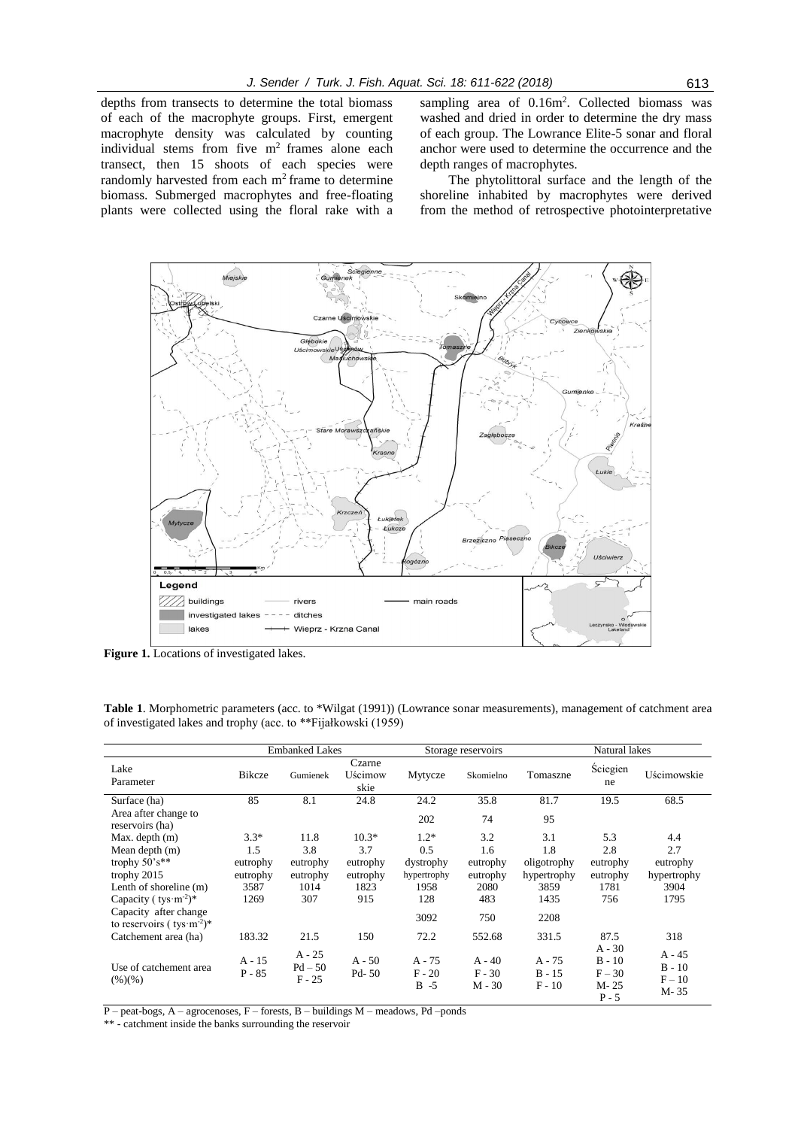depths from transects to determine the total biomass of each of the macrophyte groups. First, emergent macrophyte density was calculated by counting individual stems from five m<sup>2</sup> frames alone each transect, then 15 shoots of each species were randomly harvested from each  $m<sup>2</sup>$  frame to determine biomass. Submerged macrophytes and free-floating plants were collected using the floral rake with a

sampling area of 0.16m<sup>2</sup>. Collected biomass was washed and dried in order to determine the dry mass of each group. The Lowrance Elite-5 sonar and floral anchor were used to determine the occurrence and the depth ranges of macrophytes.

The phytolittoral surface and the length of the shoreline inhabited by macrophytes were derived from the method of retrospective photointerpretative



**Figure 1.** Locations of investigated lakes.

**Table 1**. Morphometric parameters (acc. to \*Wilgat (1991)) (Lowrance sonar measurements), management of catchment area of investigated lakes and trophy (acc. to \*\*Fijałkowski (1959)

|                                                                                                                                                                                                            |                                                       | <b>Embanked Lakes</b>                              |                                                       |                                                                  | Storage reservoirs                                       |                                                                  | Natural lakes                                                   |                                                       |  |  |
|------------------------------------------------------------------------------------------------------------------------------------------------------------------------------------------------------------|-------------------------------------------------------|----------------------------------------------------|-------------------------------------------------------|------------------------------------------------------------------|----------------------------------------------------------|------------------------------------------------------------------|-----------------------------------------------------------------|-------------------------------------------------------|--|--|
| Lake<br>Parameter                                                                                                                                                                                          | <b>Bikcze</b>                                         | Gumienek                                           | Czarne<br>Uścimow<br>skie                             | Mytycze                                                          | Skomielno                                                | Tomaszne                                                         | Ściegien<br>ne                                                  | Uścimowskie                                           |  |  |
| Surface (ha)<br>Area after change to<br>reservoirs (ha)                                                                                                                                                    | 85                                                    | 8.1                                                | 24.8                                                  | 24.2<br>202                                                      | 35.8<br>74                                               | 81.7<br>95                                                       | 19.5                                                            | 68.5                                                  |  |  |
| Max. depth (m)<br>Mean depth (m)<br>trophy $50's**$<br>trophy 2015<br>Lenth of shoreline (m)<br>Capacity ( $\text{tys} \cdot \text{m}^{-2}$ )*<br>Capacity after change<br>to reservoirs ( $tvs·m^{-2}$ )* | $3.3*$<br>1.5<br>eutrophy<br>eutrophy<br>3587<br>1269 | 11.8<br>3.8<br>eutrophy<br>eutrophy<br>1014<br>307 | $10.3*$<br>3.7<br>eutrophy<br>eutrophy<br>1823<br>915 | $1.2*$<br>0.5<br>dystrophy<br>hypertrophy<br>1958<br>128<br>3092 | 3.2<br>1.6<br>eutrophy<br>eutrophy<br>2080<br>483<br>750 | 3.1<br>1.8<br>oligotrophy<br>hypertrophy<br>3859<br>1435<br>2208 | 5.3<br>2.8<br>eutrophy<br>eutrophy<br>1781<br>756               | 4.4<br>2.7<br>eutrophy<br>hypertrophy<br>3904<br>1795 |  |  |
| Catchement area (ha)<br>Use of catchement area<br>$(\frac{9}{6})(\frac{9}{6})$                                                                                                                             | 183.32<br>$A - 15$<br>$P - 85$                        | 21.5<br>$A - 25$<br>$Pd - 50$<br>$F - 25$          | 150<br>$A - 50$<br>Pd-50                              | 72.2<br>$A - 75$<br>$F - 20$<br>$B - 5$                          | 552.68<br>$A - 40$<br>$F - 30$<br>$M - 30$               | 331.5<br>$A - 75$<br>$B - 15$<br>$F - 10$                        | 87.5<br>$A - 30$<br>$B - 10$<br>$F - 30$<br>$M - 25$<br>$P - 5$ | 318<br>$A - 45$<br>$B - 10$<br>$F - 10$<br>M-35       |  |  |

 $P$  – peat-bogs, A – agrocenoses, F – forests, B – buildings M – meadows, Pd – ponds

\*\* - catchment inside the banks surrounding the reservoir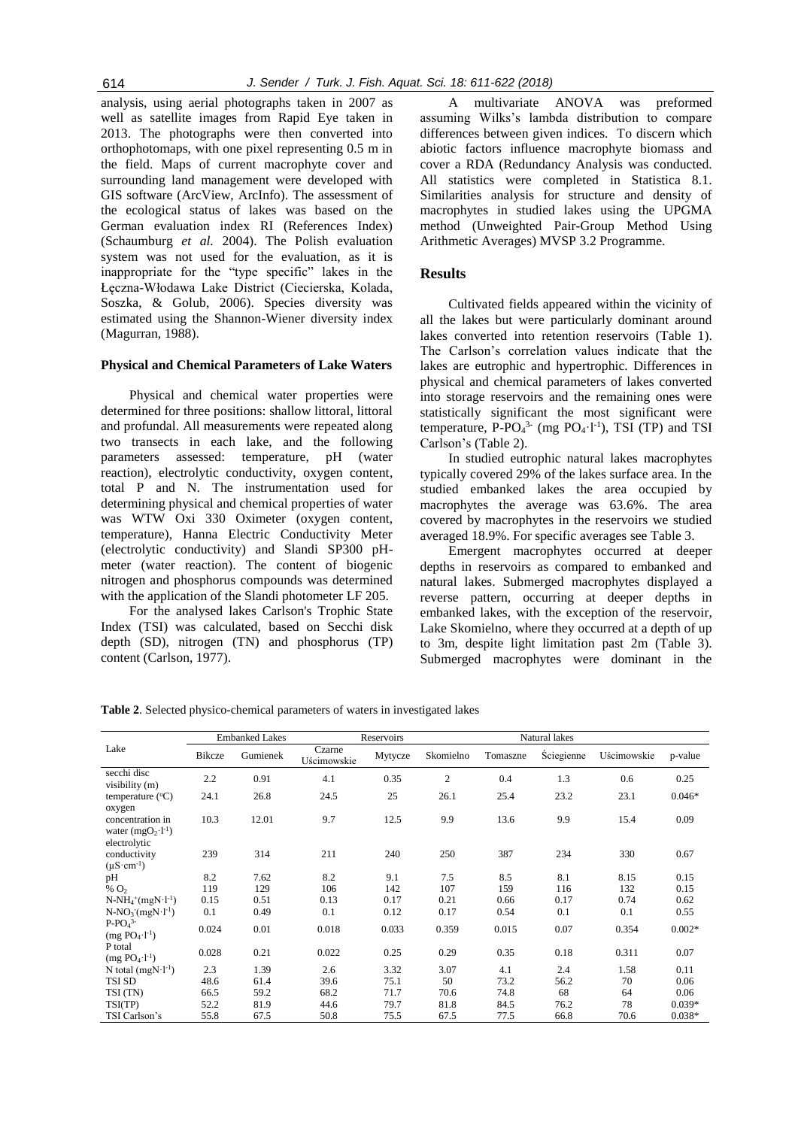analysis, using aerial photographs taken in 2007 as well as satellite images from Rapid Eye taken in 2013. The photographs were then converted into orthophotomaps, with one pixel representing 0.5 m in the field. Maps of current macrophyte cover and surrounding land management were developed with GIS software (ArcView, ArcInfo). The assessment of the ecological status of lakes was based on the German evaluation index RI (References Index) (Schaumburg *et al.* 2004). The Polish evaluation system was not used for the evaluation, as it is inappropriate for the "type specific" lakes in the Łęczna-Włodawa Lake District (Ciecierska, Kolada, Soszka, & Golub, 2006). Species diversity was estimated using the Shannon-Wiener diversity index (Magurran, 1988).

#### **Physical and Chemical Parameters of Lake Waters**

Physical and chemical water properties were determined for three positions: shallow littoral, littoral and profundal. All measurements were repeated along two transects in each lake, and the following parameters assessed: temperature, pH (water reaction), electrolytic conductivity, oxygen content, total P and N. The instrumentation used for determining physical and chemical properties of water was WTW Oxi 330 Oximeter (oxygen content, temperature), Hanna Electric Conductivity Meter (electrolytic conductivity) and Slandi SP300 pHmeter (water reaction). The content of biogenic nitrogen and phosphorus compounds was determined with the application of the Slandi photometer LF 205.

For the analysed lakes Carlson's Trophic State Index (TSI) was calculated, based on Secchi disk depth (SD), nitrogen (TN) and phosphorus (TP) content (Carlson, 1977).

A multivariate ANOVA was preformed assuming Wilks's lambda distribution to compare differences between given indices. To discern which abiotic factors influence macrophyte biomass and cover a RDA (Redundancy Analysis was conducted. All statistics were completed in Statistica 8.1. Similarities analysis for structure and density of macrophytes in studied lakes using the UPGMA method (Unweighted Pair-Group Method Using Arithmetic Averages) MVSP 3.2 Programme.

#### **Results**

Cultivated fields appeared within the vicinity of all the lakes but were particularly dominant around lakes converted into retention reservoirs (Table 1). The Carlson's correlation values indicate that the lakes are eutrophic and hypertrophic. Differences in physical and chemical parameters of lakes converted into storage reservoirs and the remaining ones were statistically significant the most significant were temperature,  $P-PO<sub>4</sub><sup>3</sup>$  (mg  $PO<sub>4</sub>·l<sup>-1</sup>$ ), TSI (TP) and TSI Carlson's (Table 2).

In studied eutrophic natural lakes macrophytes typically covered 29% of the lakes surface area. In the studied embanked lakes the area occupied by macrophytes the average was 63.6%. The area covered by macrophytes in the reservoirs we studied averaged 18.9%. For specific averages see Table 3.

Emergent macrophytes occurred at deeper depths in reservoirs as compared to embanked and natural lakes. Submerged macrophytes displayed a reverse pattern, occurring at deeper depths in embanked lakes, with the exception of the reservoir, Lake Skomielno, where they occurred at a depth of up to 3m, despite light limitation past 2m (Table 3). Submerged macrophytes were dominant in the

|                                                                  |        | <b>Embanked Lakes</b> |                       | Reservoirs |                |          | Natural lakes |             |          |
|------------------------------------------------------------------|--------|-----------------------|-----------------------|------------|----------------|----------|---------------|-------------|----------|
| Lake                                                             | Bikcze | Gumienek              | Czarne<br>Uścimowskie | Mytycze    | Skomielno      | Tomaszne | Ściegienne    | Uścimowskie | p-value  |
| secchi disc<br>visibility (m)                                    | 2.2    | 0.91                  | 4.1                   | 0.35       | $\mathfrak{2}$ | 0.4      | 1.3           | 0.6         | 0.25     |
| temperature $(^{\circ}C)$<br>oxygen                              | 24.1   | 26.8                  | 24.5                  | 25         | 26.1           | 25.4     | 23.2          | 23.1        | $0.046*$ |
| concentration in<br>water $(mgO_2 \cdot l^{-1})$<br>electrolytic | 10.3   | 12.01                 | 9.7                   | 12.5       | 9.9            | 13.6     | 9.9           | 15.4        | 0.09     |
| conductivity<br>$(\mu S \cdot cm^{-1})$                          | 239    | 314                   | 211                   | 240        | 250            | 387      | 234           | 330         | 0.67     |
| pH                                                               | 8.2    | 7.62                  | 8.2                   | 9.1        | 7.5            | 8.5      | 8.1           | 8.15        | 0.15     |
| % $O2$                                                           | 119    | 129                   | 106                   | 142        | 107            | 159      | 116           | 132         | 0.15     |
| $N-NH_4^+(mgN·l^{-1})$                                           | 0.15   | 0.51                  | 0.13                  | 0.17       | 0.21           | 0.66     | 0.17          | 0.74        | 0.62     |
| $N-NO_3$ (mgN·l <sup>-1</sup> )                                  | 0.1    | 0.49                  | 0.1                   | 0.12       | 0.17           | 0.54     | 0.1           | 0.1         | 0.55     |
| $P-PO4$ <sup>3-</sup><br>$(mg PO4·l-1)$                          | 0.024  | 0.01                  | 0.018                 | 0.033      | 0.359          | 0.015    | 0.07          | 0.354       | $0.002*$ |
| P total<br>$(mg PO_4 \cdot l^{-1})$                              | 0.028  | 0.21                  | 0.022                 | 0.25       | 0.29           | 0.35     | 0.18          | 0.311       | 0.07     |
| N total $(mgN·l^{-1})$                                           | 2.3    | 1.39                  | 2.6                   | 3.32       | 3.07           | 4.1      | 2.4           | 1.58        | 0.11     |
| <b>TSI SD</b>                                                    | 48.6   | 61.4                  | 39.6                  | 75.1       | 50             | 73.2     | 56.2          | 70          | 0.06     |
| TSI (TN)                                                         | 66.5   | 59.2                  | 68.2                  | 71.7       | 70.6           | 74.8     | 68            | 64          | 0.06     |
| TSI(TP)                                                          | 52.2   | 81.9                  | 44.6                  | 79.7       | 81.8           | 84.5     | 76.2          | 78          | $0.039*$ |
| TSI Carlson's                                                    | 55.8   | 67.5                  | 50.8                  | 75.5       | 67.5           | 77.5     | 66.8          | 70.6        | $0.038*$ |

**Table 2**. Selected physico-chemical parameters of waters in investigated lakes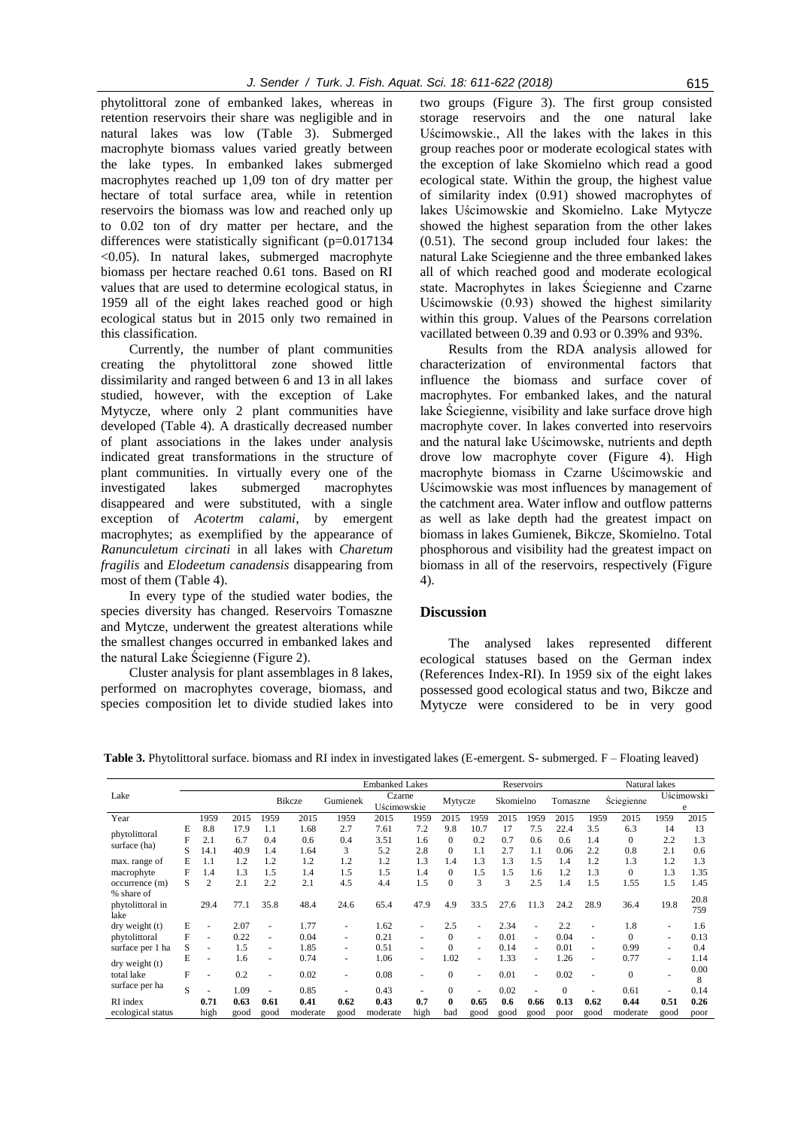phytolittoral zone of embanked lakes, whereas in retention reservoirs their share was negligible and in natural lakes was low (Table 3). Submerged macrophyte biomass values varied greatly between the lake types. In embanked lakes submerged macrophytes reached up 1,09 ton of dry matter per hectare of total surface area, while in retention reservoirs the biomass was low and reached only up to 0.02 ton of dry matter per hectare, and the differences were statistically significant (p=0.017134) <0.05). In natural lakes, submerged macrophyte biomass per hectare reached 0.61 tons. Based on RI values that are used to determine ecological status, in 1959 all of the eight lakes reached good or high ecological status but in 2015 only two remained in this classification.

Currently, the number of plant communities creating the phytolittoral zone showed little dissimilarity and ranged between 6 and 13 in all lakes studied, however, with the exception of Lake Mytycze, where only 2 plant communities have developed (Table 4). A drastically decreased number of plant associations in the lakes under analysis indicated great transformations in the structure of plant communities. In virtually every one of the investigated lakes submerged macrophytes disappeared and were substituted, with a single exception of *Acotertm calami*, by emergent macrophytes; as exemplified by the appearance of *Ranunculetum circinati* in all lakes with *Charetum fragilis* and *Elodeetum canadensis* disappearing from most of them (Table 4).

In every type of the studied water bodies, the species diversity has changed. Reservoirs Tomaszne and Mytcze, underwent the greatest alterations while the smallest changes occurred in embanked lakes and the natural Lake Ściegienne (Figure 2).

Cluster analysis for plant assemblages in 8 lakes, performed on macrophytes coverage, biomass, and species composition let to divide studied lakes into

two groups (Figure 3). The first group consisted storage reservoirs and the one natural lake Uścimowskie., All the lakes with the lakes in this group reaches poor or moderate ecological states with the exception of lake Skomielno which read a good ecological state. Within the group, the highest value of similarity index (0.91) showed macrophytes of lakes Uścimowskie and Skomielno. Lake Mytycze showed the highest separation from the other lakes (0.51). The second group included four lakes: the natural Lake Sciegienne and the three embanked lakes all of which reached good and moderate ecological state. Macrophytes in lakes Ściegienne and Czarne Uścimowskie (0.93) showed the highest similarity within this group. Values of the Pearsons correlation vacillated between 0.39 and 0.93 or 0.39% and 93%.

Results from the RDA analysis allowed for characterization of environmental factors that influence the biomass and surface cover of macrophytes. For embanked lakes, and the natural lake Ściegienne, visibility and lake surface drove high macrophyte cover. In lakes converted into reservoirs and the natural lake Uścimowske, nutrients and depth drove low macrophyte cover (Figure 4). High macrophyte biomass in Czarne Uścimowskie and Uścimowskie was most influences by management of the catchment area. Water inflow and outflow patterns as well as lake depth had the greatest impact on biomass in lakes Gumienek, Bikcze, Skomielno. Total phosphorous and visibility had the greatest impact on biomass in all of the reservoirs, respectively (Figure 4).

#### **Discussion**

The analysed lakes represented different ecological statuses based on the German index (References Index-RI). In 1959 six of the eight lakes possessed good ecological status and two, Bikcze and Mytycze were considered to be in very good

|                                        |   |                          |      |      | <b>Embanked Lakes</b> |                          |                       |      |                |        | Reservoirs |                          |          | Natural lakes |                   |                          |             |
|----------------------------------------|---|--------------------------|------|------|-----------------------|--------------------------|-----------------------|------|----------------|--------|------------|--------------------------|----------|---------------|-------------------|--------------------------|-------------|
| Lake                                   |   |                          |      |      | <b>Bikcze</b>         | Gumienek                 | Czarne<br>Uścimowskie |      | Mytycze        |        | Skomielno  |                          | Tomaszne |               | <b>Ściegienne</b> | Uścimowski<br>e          |             |
| Year                                   |   | 1959                     | 2015 | 1959 | 2015                  | 1959                     | 2015                  | 1959 | 2015           | 1959   | 2015       | 1959                     | 2015     | 1959          | 2015              | 1959                     | 2015        |
| phytolittoral                          | E | 8.8                      | 17.9 | 1.1  | 1.68                  | 2.7                      | 7.61                  | 7.2  | 9.8            | 10.7   | 17         | 7.5                      | 22.4     | 3.5           | 6.3               | 14                       | 13          |
| surface (ha)                           | F | 2.1                      | 6.7  | 0.4  | 0.6                   | 0.4                      | 3.51                  | 1.6  | $\Omega$       | 0.2    | 0.7        | 0.6                      | 0.6      | 1.4           | $\Omega$          | 2.2                      | 1.3         |
|                                        | S | 14.1                     | 40.9 | 1.4  | 1.64                  | 3                        | 5.2                   | 2.8  | $\Omega$       | 1.1    | 2.7        | 1.1                      | 0.06     | 2.2           | 0.8               | 2.1                      | 0.6         |
| max. range of                          | E | 1.1                      | 1.2  | 1.2  | 1.2                   | 1.2                      | 1.2                   | 1.3  | 1.4            | 1.3    | 1.3        | 1.5                      | 1.4      | 1.2           | 1.3               | 1.2                      | 1.3         |
| macrophyte                             | F | 1.4                      | 1.3  | 1.5  | 1.4                   | 1.5                      | 1.5                   | 1.4  | $\Omega$       | 1.5    | 1.5        | 1.6                      | 1.2      | 1.3           | $\Omega$          | 1.3                      | 1.35        |
| occurrence(m)                          | S | 2                        | 2.1  | 2.2  | 2.1                   | 4.5                      | 4.4                   | 1.5  | $\Omega$       | 3      | 3          | 2.5                      | 1.4      | 1.5           | 1.55              | 1.5                      | 1.45        |
| % share of<br>phytolittoral in<br>lake |   | 29.4                     | 77.1 | 35.8 | 48.4                  | 24.6                     | 65.4                  | 47.9 | 4.9            | 33.5   | 27.6       | 11.3                     | 24.2     | 28.9          | 36.4              | 19.8                     | 20.8<br>759 |
| $\frac{dy}{dx}$ weight (t)             | E | $\overline{\phantom{a}}$ | 2.07 | ٠    | 1.77                  | $\overline{\phantom{a}}$ | 1.62                  |      | 2.5            |        | 2.34       |                          | 2.2      |               | 1.8               | $\overline{\phantom{a}}$ | 1.6         |
| phytolittoral                          | F |                          | 0.22 | ٠    | 0.04                  | ٠                        | 0.21                  | ÷.   | $\overline{0}$ | $\sim$ | 0.01       | $\overline{\phantom{a}}$ | 0.04     | $\sim$        | $\Omega$          | ٠                        | 0.13        |
| surface per 1 ha                       | S |                          | 1.5  | ٠    | 1.85                  | $\overline{\phantom{a}}$ | 0.51                  |      | $\overline{0}$ | $\sim$ | 0.14       | ٠                        | 0.01     | ٠             | 0.99              | ٠                        | 0.4         |
| dry weight (t)                         | E |                          | 1.6  | ٠    | 0.74                  | $\overline{\phantom{a}}$ | 1.06                  | ٠    | 1.02           | $\sim$ | 1.33       | ٠                        | 1.26     | ٠             | 0.77              | $\overline{\phantom{a}}$ | 1.14        |
| total lake                             | F |                          | 0.2  | ٠    | 0.02                  | ٠                        | 0.08                  | -    | $\theta$       | $\sim$ | 0.01       | $\overline{a}$           | 0.02     | ÷.            | $\Omega$          |                          | 0.00<br>8   |
| surface per ha                         | S |                          | 1.09 |      | 0.85                  |                          | 0.43                  | ۰    | $\mathbf{0}$   | ٠      | 0.02       |                          | $\Omega$ |               | 0.61              |                          | 0.14        |
| RI index                               |   | 0.71                     | 0.63 | 0.61 | 0.41                  | 0.62                     | 0.43                  | 0.7  | $\mathbf{0}$   | 0.65   | 0.6        | 0.66                     | 0.13     | 0.62          | 0.44              | 0.51                     | 0.26        |
| ecological status                      |   | high                     | good | good | moderate              | good                     | moderate              | high | bad            | good   | good       | good                     | poor     | good          | moderate          | good                     | poor        |

**Table 3.** Phytolittoral surface. biomass and RI index in investigated lakes (E-emergent. S- submerged. F – Floating leaved)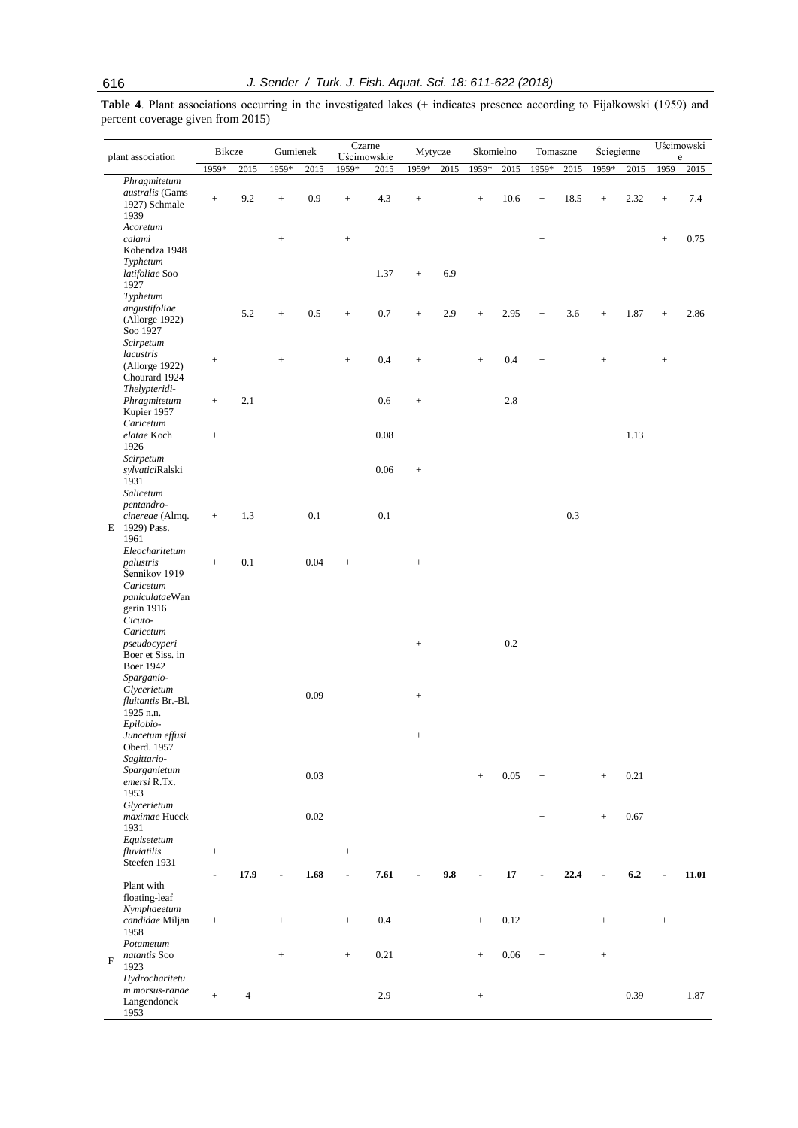Table 4. Plant associations occurring in the investigated lakes (+ indicates presence according to Fijałkowski (1959) and percent coverage given from 2015)

| plant association |                                                                                    | Bikcze            |      | Gumienek          |      | Czarne<br>Uścimowskie               |         | Mytycze                          |      | Skomielno         |          | Tomaszne                         |      | Ściegienne      |      | Uścimowski<br>$\rm e$ |       |
|-------------------|------------------------------------------------------------------------------------|-------------------|------|-------------------|------|-------------------------------------|---------|----------------------------------|------|-------------------|----------|----------------------------------|------|-----------------|------|-----------------------|-------|
|                   |                                                                                    | 1959*             | 2015 | 1959*             | 2015 | 1959*                               | 2015    | 1959*                            | 2015 | 1959*             | 2015     | 1959*                            | 2015 | 1959*           | 2015 | 1959                  | 2015  |
|                   | Phragmitetum<br>australis (Gams<br>1927) Schmale<br>1939                           | $^+$              | 9.2  | $^{+}$            | 0.9  | $^{+}$                              | 4.3     | $^{+}$                           |      | $^+$              | 10.6     | $^+$                             | 18.5 | $^{+}$          | 2.32 | $\! + \!\!\!\!$       | 7.4   |
|                   | Acoretum<br>calami<br>Kobendza 1948                                                |                   |      | $\! + \!\!\!\!$   |      | $^{+}$                              |         |                                  |      |                   |          | $\qquad \qquad +$                |      |                 |      | $\! + \!\!\!\!$       | 0.75  |
|                   | Typhetum<br>latifoliae Soo<br>1927<br>Typhetum                                     |                   |      |                   |      |                                     | 1.37    | $^{+}$                           | 6.9  |                   |          |                                  |      |                 |      |                       |       |
|                   | angustifoliae<br>(Allorge 1922)<br>Soo 1927<br>Scirpetum                           |                   | 5.2  | $\! + \!\!\!\!$   | 0.5  | $^+$                                | 0.7     | $^{+}$                           | 2.9  | $^+$              | 2.95     | $\! +$                           | 3.6  | $^{+}$          | 1.87 | $+$                   | 2.86  |
|                   | lacustris<br>(Allorge 1922)<br>Chourard 1924                                       | $\qquad \qquad +$ |      | $\! + \!\!\!\!$   |      | $\qquad \qquad +$                   | 0.4     |                                  |      | $^+$              | 0.4      | $\qquad \qquad +$                |      | $^{+}$          |      | $\! + \!\!\!\!$       |       |
|                   | Thelypteridi-<br>Phragmitetum<br>Kupier 1957<br>Caricetum                          | $\qquad \qquad +$ | 2.1  |                   |      |                                     | 0.6     | $\! + \!\!\!\!$                  |      |                   | 2.8      |                                  |      |                 |      |                       |       |
|                   | elatae Koch<br>1926<br>Scirpetum                                                   | $\qquad \qquad +$ |      |                   |      |                                     | 0.08    |                                  |      |                   |          |                                  |      |                 | 1.13 |                       |       |
|                   | sylvaticiRalski<br>1931<br>Salicetum<br>pentandro-                                 |                   |      |                   |      |                                     | 0.06    | $^{+}$                           |      |                   |          |                                  |      |                 |      |                       |       |
|                   | cinereae (Almq.<br>E 1929) Pass.<br>1961<br>Eleocharitetum                         | $^+$              | 1.3  |                   | 0.1  |                                     | 0.1     |                                  |      |                   |          |                                  | 0.3  |                 |      |                       |       |
|                   | palustris<br>Šennikov 1919<br>Caricetum<br>paniculataeWan<br>gerin 1916<br>Cicuto- | $\qquad \qquad +$ | 0.1  |                   | 0.04 | $^{+}$                              |         |                                  |      |                   |          | $\qquad \qquad +$                |      |                 |      |                       |       |
|                   | Caricetum<br>pseudocyperi<br>Boer et Siss. in<br><b>Boer 1942</b>                  |                   |      |                   |      |                                     |         | $^{+}$                           |      |                   | 0.2      |                                  |      |                 |      |                       |       |
|                   | Sparganio-<br>Glycerietum<br>fluitantis Br.-Bl.<br>1925 n.n.                       |                   |      |                   | 0.09 |                                     |         |                                  |      |                   |          |                                  |      |                 |      |                       |       |
|                   | Epilobio-<br>Juncetum effusi<br>Oberd. 1957<br>Sagittario-                         |                   |      |                   |      |                                     |         | $\begin{array}{c} + \end{array}$ |      |                   |          |                                  |      |                 |      |                       |       |
|                   | Sparganietum<br>emersi R.Tx.<br>1953                                               |                   |      |                   | 0.03 |                                     |         |                                  |      | $\qquad \qquad +$ | 0.05     | $\! + \!\!\!\!$                  |      | $\ddot{}$       | 0.21 |                       |       |
|                   | Glycerietum<br>maximae Hueck<br>1931<br>Equisetetum                                |                   |      |                   | 0.02 |                                     |         |                                  |      |                   |          | $\begin{array}{c} + \end{array}$ |      | $^{+}$          | 0.67 |                       |       |
|                   | fluviatilis<br>Steefen 1931                                                        | $\qquad \qquad +$ | 17.9 | ÷                 | 1.68 | $\qquad \qquad +$<br>$\blacksquare$ | 7.61    | $\blacksquare$                   | 9.8  |                   | 17       | ä,                               | 22.4 |                 | 6.2  | $\blacksquare$        | 11.01 |
|                   | Plant with<br>floating-leaf<br>Nymphaeetum                                         |                   |      |                   |      |                                     |         |                                  |      |                   |          |                                  |      |                 |      |                       |       |
|                   | candidae Miljan<br>1958<br>Potametum                                               | $\! + \!\!\!\!$   |      | $\qquad \qquad +$ |      | $^{+}$                              | $0.4\,$ |                                  |      | $\qquad \qquad +$ | 0.12     | $^+$                             |      | $^+$            |      | $\! + \!\!\!\!$       |       |
| F                 | natantis Soo<br>1923<br>Hydrocharitetu                                             |                   |      | $\! + \!\!\!\!$   |      | $\qquad \qquad +$                   | 0.21    |                                  |      | $\qquad \qquad +$ | $0.06\,$ | $\qquad \qquad +$                |      | $\! + \!\!\!\!$ |      |                       |       |
|                   | m morsus-ranae<br>Langendonck<br>1953                                              | $\qquad \qquad +$ | 4    |                   |      |                                     | 2.9     |                                  |      | $^+$              |          |                                  |      |                 | 0.39 |                       | 1.87  |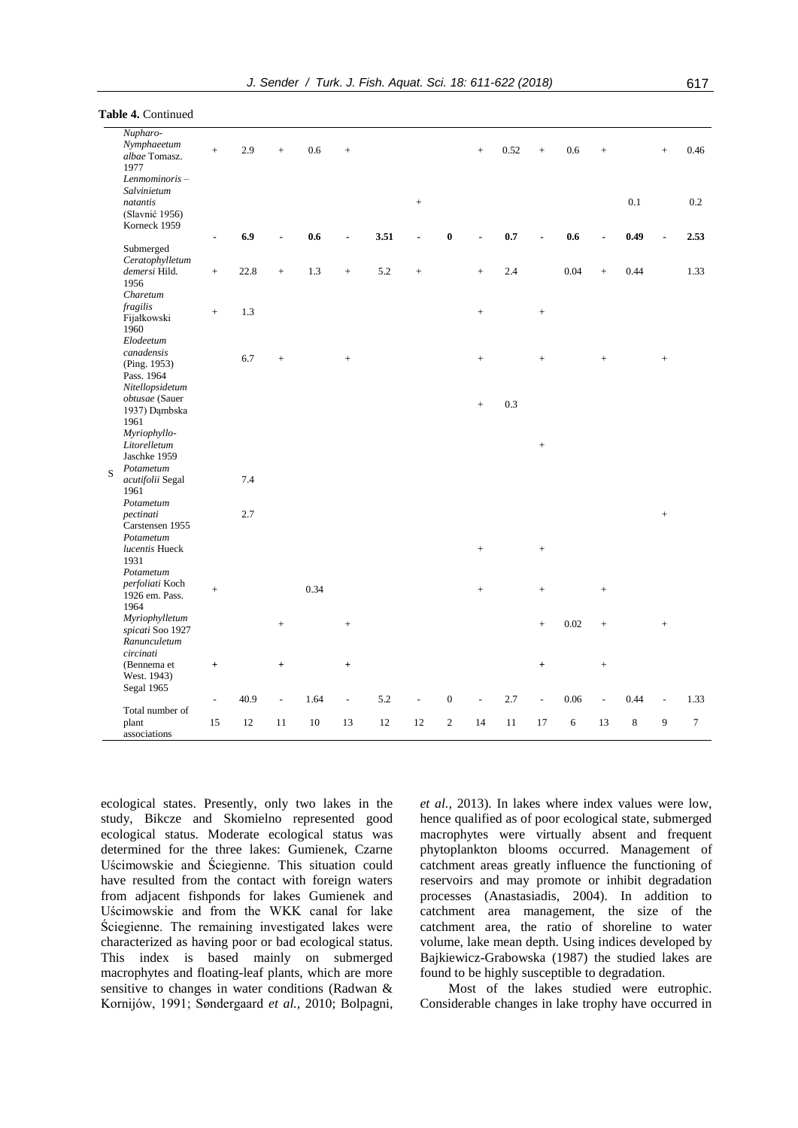|  | ł |
|--|---|
|  |   |

|   | Nupharo-<br>Nymphaeetum                | $+$             | 2.9  | $^{+}$         | 0.6  | $\qquad \qquad +$ |        |           |                  | $^{+}$            | 0.52 | $+$               | 0.6  | $^{+}$    |             | $+$               | 0.46   |
|---|----------------------------------------|-----------------|------|----------------|------|-------------------|--------|-----------|------------------|-------------------|------|-------------------|------|-----------|-------------|-------------------|--------|
|   | albae Tomasz.<br>1977<br>Lenmominoris- |                 |      |                |      |                   |        |           |                  |                   |      |                   |      |           |             |                   |        |
|   | Salvinietum<br>natantis                |                 |      |                |      |                   |        | $^{+}$    |                  |                   |      |                   |      |           | $0.1\,$     |                   | 0.2    |
|   | (Slavnić 1956)<br>Korneck 1959         |                 |      |                |      |                   |        |           |                  |                   |      |                   |      |           |             |                   |        |
|   |                                        |                 | 6.9  |                | 0.6  |                   | 3.51   |           | $\bf{0}$         |                   | 0.7  |                   | 0.6  |           | 0.49        |                   | 2.53   |
|   | Submerged                              |                 |      |                |      |                   |        |           |                  |                   |      |                   |      |           |             |                   |        |
|   | Ceratophylletum                        |                 |      |                |      |                   |        |           |                  |                   |      |                   |      |           |             |                   |        |
|   | demersi Hild.<br>1956                  | $\! + \!\!\!\!$ | 22.8 | $^{+}$         | 1.3  | $^{+}$            | 5.2    | $\ddot{}$ |                  | $\ddot{}$         | 2.4  |                   | 0.04 | $+$       | 0.44        |                   | 1.33   |
|   | Charetum                               |                 |      |                |      |                   |        |           |                  |                   |      |                   |      |           |             |                   |        |
|   | fragilis<br>Fijałkowski<br>1960        | $^{+}$          | 1.3  |                |      |                   |        |           |                  | $\qquad \qquad +$ |      | $^+$              |      |           |             |                   |        |
|   | Elodeetum<br>canadensis                |                 |      |                |      |                   |        |           |                  |                   |      |                   |      |           |             |                   |        |
|   | (Ping. 1953)<br>Pass. 1964             |                 | 6.7  | $^{+}$         |      | $^{+}$            |        |           |                  | $\qquad \qquad +$ |      | $\ddot{}$         |      | $\ddot{}$ |             | $^{+}$            |        |
|   | Nitellopsidetum                        |                 |      |                |      |                   |        |           |                  |                   |      |                   |      |           |             |                   |        |
|   | obtusae (Sauer<br>1937) Dąmbska        |                 |      |                |      |                   |        |           |                  | $^{+}$            | 0.3  |                   |      |           |             |                   |        |
|   | 1961<br>Myriophyllo-                   |                 |      |                |      |                   |        |           |                  |                   |      |                   |      |           |             |                   |        |
|   | Litorelletum<br>Jaschke 1959           |                 |      |                |      |                   |        |           |                  |                   |      | $^{+}$            |      |           |             |                   |        |
| S | Potametum                              |                 |      |                |      |                   |        |           |                  |                   |      |                   |      |           |             |                   |        |
|   | acutifolii Segal<br>1961               |                 | 7.4  |                |      |                   |        |           |                  |                   |      |                   |      |           |             |                   |        |
|   | Potametum                              |                 |      |                |      |                   |        |           |                  |                   |      |                   |      |           |             |                   |        |
|   | pectinati<br>Carstensen 1955           |                 | 2.7  |                |      |                   |        |           |                  |                   |      |                   |      |           |             | $^+$              |        |
|   | Potametum<br>lucentis Hueck            |                 |      |                |      |                   |        |           |                  | $\qquad \qquad +$ |      | $\qquad \qquad +$ |      |           |             |                   |        |
|   | 1931<br>Potametum                      |                 |      |                |      |                   |        |           |                  |                   |      |                   |      |           |             |                   |        |
|   | perfoliati Koch<br>1926 em. Pass.      | $^{+}$          |      |                | 0.34 |                   |        |           |                  | $\qquad \qquad +$ |      | $\ddot{}$         |      | $\! +$    |             |                   |        |
|   | 1964                                   |                 |      |                |      |                   |        |           |                  |                   |      |                   |      |           |             |                   |        |
|   | Myriophylletum<br>spicati Soo 1927     |                 |      | $^{+}$         |      | $^{+}$            |        |           |                  |                   |      | $^{+}$            | 0.02 | $\ddot{}$ |             | $\qquad \qquad +$ |        |
|   | Ranunculetum<br>circinati              |                 |      |                |      |                   |        |           |                  |                   |      |                   |      |           |             |                   |        |
|   | (Bennema et<br>West. 1943)             | $^+$            |      | $\ddot{}$      |      | $^{+}$            |        |           |                  |                   |      | $\ddot{}$         |      | $\! + \!$ |             |                   |        |
|   | Segal 1965                             |                 |      |                |      |                   |        |           |                  |                   |      |                   |      |           |             |                   |        |
|   | Total number of                        |                 | 40.9 | $\overline{a}$ | 1.64 | $\blacksquare$    | 5.2    |           | $\boldsymbol{0}$ |                   | 2.7  | $\overline{a}$    | 0.06 |           | 0.44        |                   | 1.33   |
|   | plant<br>associations                  | 15              | 12   | 11             | 10   | 13                | $12\,$ | 12        | $\sqrt{2}$       | 14                | 11   | 17                | 6    | 13        | $\,$ 8 $\,$ | 9                 | $\tau$ |
|   |                                        |                 |      |                |      |                   |        |           |                  |                   |      |                   |      |           |             |                   |        |

ecological states. Presently, only two lakes in the study, Bikcze and Skomielno represented good ecological status. Moderate ecological status was determined for the three lakes: Gumienek, Czarne Uścimowskie and Ściegienne. This situation could have resulted from the contact with foreign waters from adjacent fishponds for lakes Gumienek and Uścimowskie and from the WKK canal for lake Ściegienne. The remaining investigated lakes were characterized as having poor or bad ecological status. This index is based mainly on submerged macrophytes and floating-leaf plants, which are more sensitive to changes in water conditions (Radwan & Kornijów, 1991; Søndergaard *et al.,* 2010; Bolpagni,

**Table 4.** Continued

*et al.,* 2013). In lakes where index values were low, hence qualified as of poor ecological state, submerged macrophytes were virtually absent and frequent phytoplankton blooms occurred. Management of catchment areas greatly influence the functioning of reservoirs and may promote or inhibit degradation processes (Anastasiadis, 2004). In addition to catchment area management, the size of the catchment area, the ratio of shoreline to water volume, lake mean depth. Using indices developed by Bajkiewicz-Grabowska (1987) the studied lakes are found to be highly susceptible to degradation.

Most of the lakes studied were eutrophic. Considerable changes in lake trophy have occurred in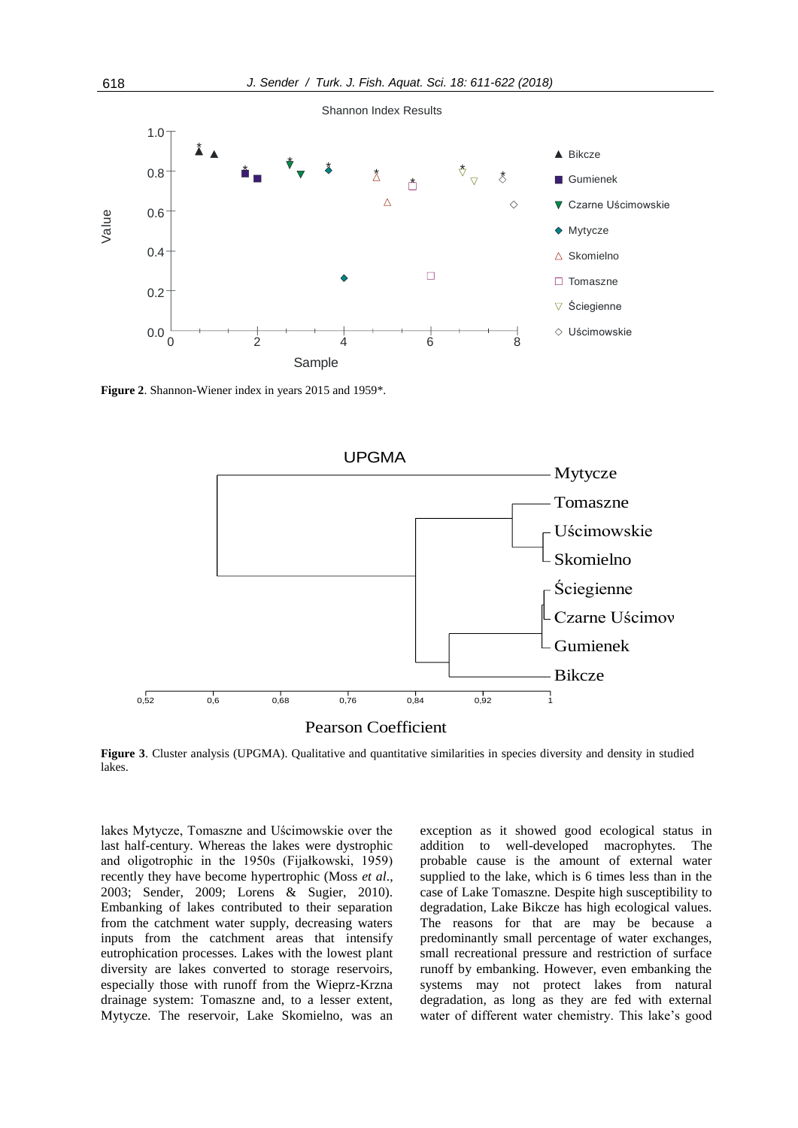

**Figure 2**. Shannon-Wiener index in years 2015 and 1959\*.





Figure 3. Cluster analysis (UPGMA). Qualitative and quantitative similarities in species diversity and density in studied lakes.

lakes Mytycze, Tomaszne and Uścimowskie over the last half-century. Whereas the lakes were dystrophic and oligotrophic in the 1950s (Fijałkowski, 1959) recently they have become hypertrophic (Moss *et al*., 2003; Sender, 2009; Lorens & Sugier, 2010). Embanking of lakes contributed to their separation from the catchment water supply, decreasing waters inputs from the catchment areas that intensify eutrophication processes. Lakes with the lowest plant diversity are lakes converted to storage reservoirs, especially those with runoff from the Wieprz-Krzna drainage system: Tomaszne and, to a lesser extent, Mytycze. The reservoir, Lake Skomielno, was an

exception as it showed good ecological status in addition to well-developed macrophytes. The probable cause is the amount of external water supplied to the lake, which is 6 times less than in the case of Lake Tomaszne. Despite high susceptibility to degradation, Lake Bikcze has high ecological values. The reasons for that are may be because a predominantly small percentage of water exchanges, small recreational pressure and restriction of surface runoff by embanking. However, even embanking the systems may not protect lakes from natural degradation, as long as they are fed with external water of different water chemistry. This lake's good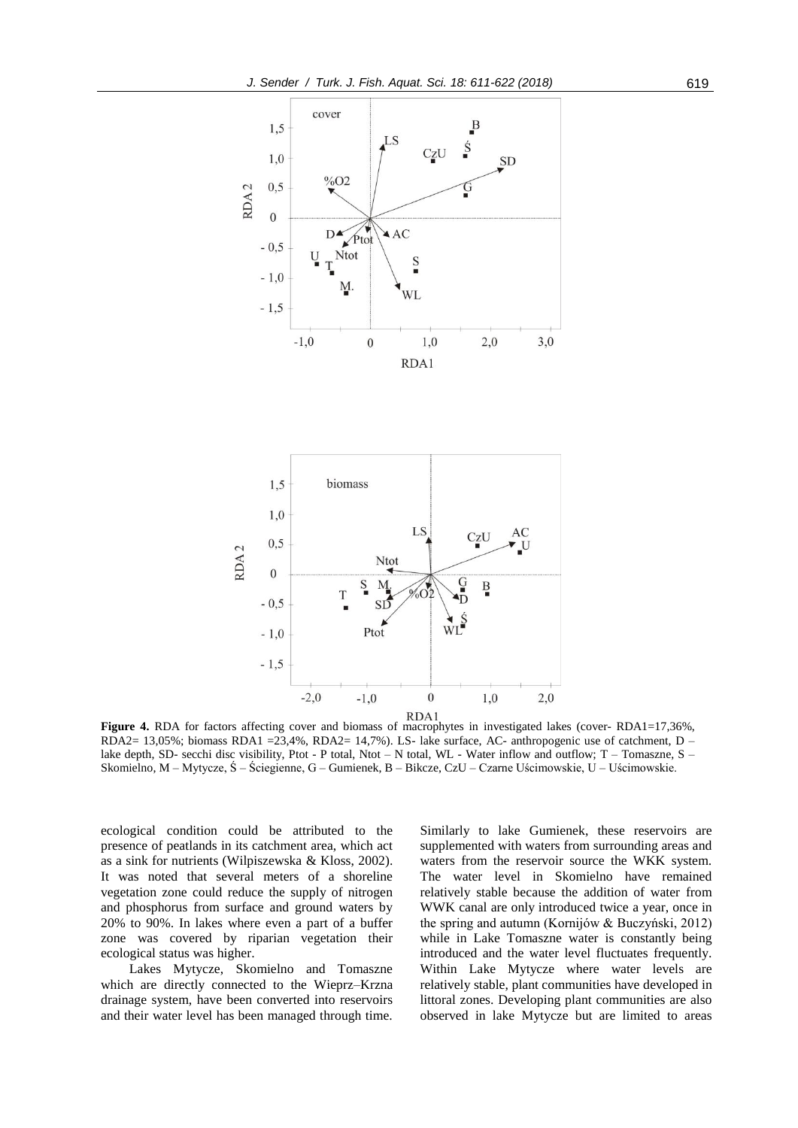



**Figure 4.** RDA for factors affecting cover and biomass of macrophytes in investigated lakes (cover- RDA1=17,36%, RDA2= 13,05%; biomass RDA1 = 23,4%, RDA2= 14,7%). LS- lake surface, AC- anthropogenic use of catchment, D – lake depth, SD- secchi disc visibility, Ptot - P total, Ntot – N total, WL - Water inflow and outflow; T – Tomaszne, S – Skomielno, M – Mytycze, Ś – Ściegienne, G – Gumienek, B – Bikcze, CzU – Czarne Uścimowskie, U – Uścimowskie.

ecological condition could be attributed to the presence of peatlands in its catchment area, which act as a sink for nutrients (Wilpiszewska & Kloss, 2002). It was noted that several meters of a shoreline vegetation zone could reduce the supply of nitrogen and phosphorus from surface and ground waters by 20% to 90%. In lakes where even a part of a buffer zone was covered by riparian vegetation their ecological status was higher.

Lakes Mytycze, Skomielno and Tomaszne which are directly connected to the Wieprz–Krzna drainage system, have been converted into reservoirs and their water level has been managed through time. Similarly to lake Gumienek, these reservoirs are supplemented with waters from surrounding areas and waters from the reservoir source the WKK system. The water level in Skomielno have remained relatively stable because the addition of water from WWK canal are only introduced twice a year, once in the spring and autumn (Kornijów & Buczyński, 2012) while in Lake Tomaszne water is constantly being introduced and the water level fluctuates frequently. Within Lake Mytycze where water levels are relatively stable, plant communities have developed in littoral zones. Developing plant communities are also observed in lake Mytycze but are limited to areas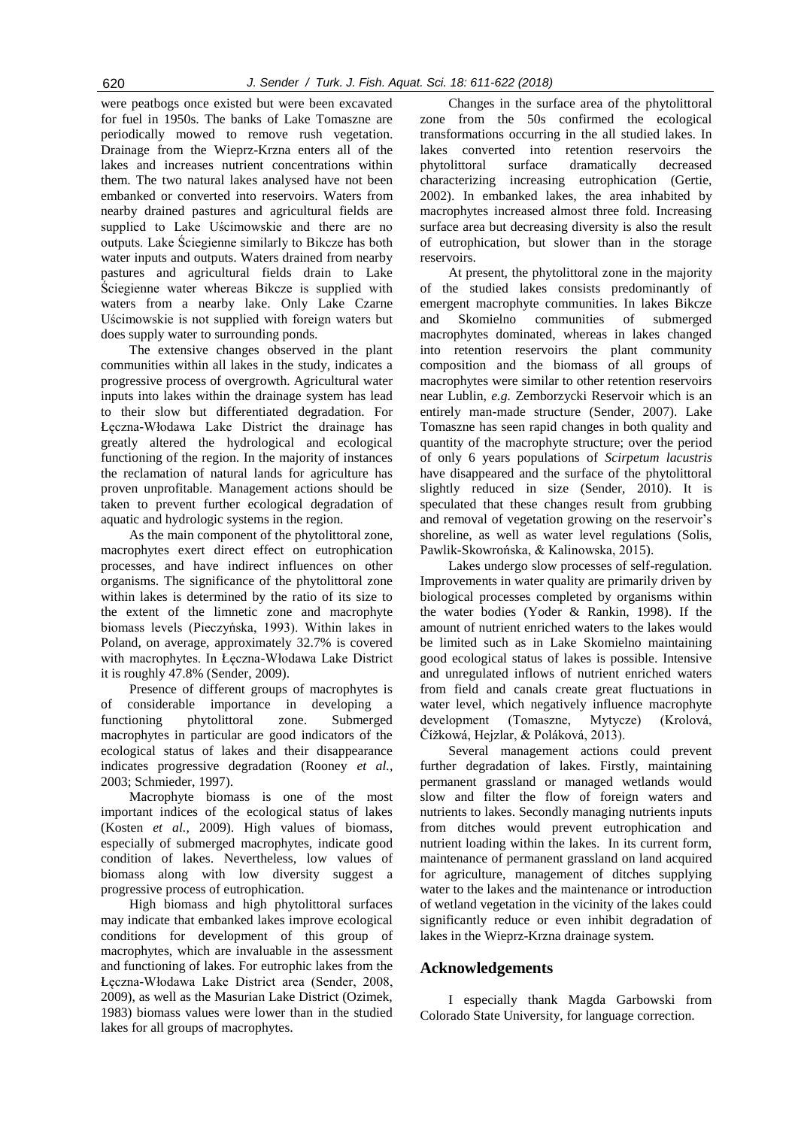were peatbogs once existed but were been excavated for fuel in 1950s. The banks of Lake Tomaszne are periodically mowed to remove rush vegetation. Drainage from the Wieprz-Krzna enters all of the lakes and increases nutrient concentrations within them. The two natural lakes analysed have not been embanked or converted into reservoirs. Waters from nearby drained pastures and agricultural fields are supplied to Lake Uścimowskie and there are no outputs. Lake Ściegienne similarly to Bikcze has both water inputs and outputs. Waters drained from nearby pastures and agricultural fields drain to Lake Ściegienne water whereas Bikcze is supplied with waters from a nearby lake. Only Lake Czarne Uścimowskie is not supplied with foreign waters but does supply water to surrounding ponds.

The extensive changes observed in the plant communities within all lakes in the study, indicates a progressive process of overgrowth. Agricultural water inputs into lakes within the drainage system has lead to their slow but differentiated degradation. For Łęczna-Włodawa Lake District the drainage has greatly altered the hydrological and ecological functioning of the region. In the majority of instances the reclamation of natural lands for agriculture has proven unprofitable. Management actions should be taken to prevent further ecological degradation of aquatic and hydrologic systems in the region.

As the main component of the phytolittoral zone, macrophytes exert direct effect on eutrophication processes, and have indirect influences on other organisms. The significance of the phytolittoral zone within lakes is determined by the ratio of its size to the extent of the limnetic zone and macrophyte biomass levels (Pieczyńska, 1993). Within lakes in Poland, on average, approximately 32.7% is covered with macrophytes. In Łęczna-Włodawa Lake District it is roughly 47.8% (Sender, 2009).

Presence of different groups of macrophytes is of considerable importance in developing a functioning phytolittoral zone. Submerged macrophytes in particular are good indicators of the ecological status of lakes and their disappearance indicates progressive degradation (Rooney *et al.,* 2003; Schmieder, 1997).

Macrophyte biomass is one of the most important indices of the ecological status of lakes (Kosten *et al.,* 2009). High values of biomass, especially of submerged macrophytes, indicate good condition of lakes. Nevertheless, low values of biomass along with low diversity suggest a progressive process of eutrophication.

High biomass and high phytolittoral surfaces may indicate that embanked lakes improve ecological conditions for development of this group of macrophytes, which are invaluable in the assessment and functioning of lakes. For eutrophic lakes from the Łęczna-Włodawa Lake District area (Sender, 2008, 2009), as well as the Masurian Lake District (Ozimek, 1983) biomass values were lower than in the studied lakes for all groups of macrophytes.

Changes in the surface area of the phytolittoral zone from the 50s confirmed the ecological transformations occurring in the all studied lakes. In lakes converted into retention reservoirs the phytolittoral surface dramatically decreased characterizing increasing eutrophication (Gertie, 2002). In embanked lakes, the area inhabited by macrophytes increased almost three fold. Increasing surface area but decreasing diversity is also the result of eutrophication, but slower than in the storage reservoirs.

At present, the phytolittoral zone in the majority of the studied lakes consists predominantly of emergent macrophyte communities. In lakes Bikcze and Skomielno communities of submerged macrophytes dominated, whereas in lakes changed into retention reservoirs the plant community composition and the biomass of all groups of macrophytes were similar to other retention reservoirs near Lublin, *e.g.* Zemborzycki Reservoir which is an entirely man-made structure (Sender, 2007). Lake Tomaszne has seen rapid changes in both quality and quantity of the macrophyte structure; over the period of only 6 years populations of *Scirpetum lacustris* have disappeared and the surface of the phytolittoral slightly reduced in size (Sender, 2010). It is speculated that these changes result from grubbing and removal of vegetation growing on the reservoir's shoreline, as well as water level regulations (Solis, Pawlik-Skowrońska, & Kalinowska, 2015).

Lakes undergo slow processes of self-regulation. Improvements in water quality are primarily driven by biological processes completed by organisms within the water bodies (Yoder & Rankin, 1998). If the amount of nutrient enriched waters to the lakes would be limited such as in Lake Skomielno maintaining good ecological status of lakes is possible. Intensive and unregulated inflows of nutrient enriched waters from field and canals create great fluctuations in water level, which negatively influence macrophyte development (Tomaszne, Mytycze) (Krolová, Čížkowá, Hejzlar, & Poláková, 2013).

Several management actions could prevent further degradation of lakes. Firstly, maintaining permanent grassland or managed wetlands would slow and filter the flow of foreign waters and nutrients to lakes. Secondly managing nutrients inputs from ditches would prevent eutrophication and nutrient loading within the lakes. In its current form, maintenance of permanent grassland on land acquired for agriculture, management of ditches supplying water to the lakes and the maintenance or introduction of wetland vegetation in the vicinity of the lakes could significantly reduce or even inhibit degradation of lakes in the Wieprz-Krzna drainage system.

# **Acknowledgements**

I especially thank Magda Garbowski from Colorado State University, for language correction.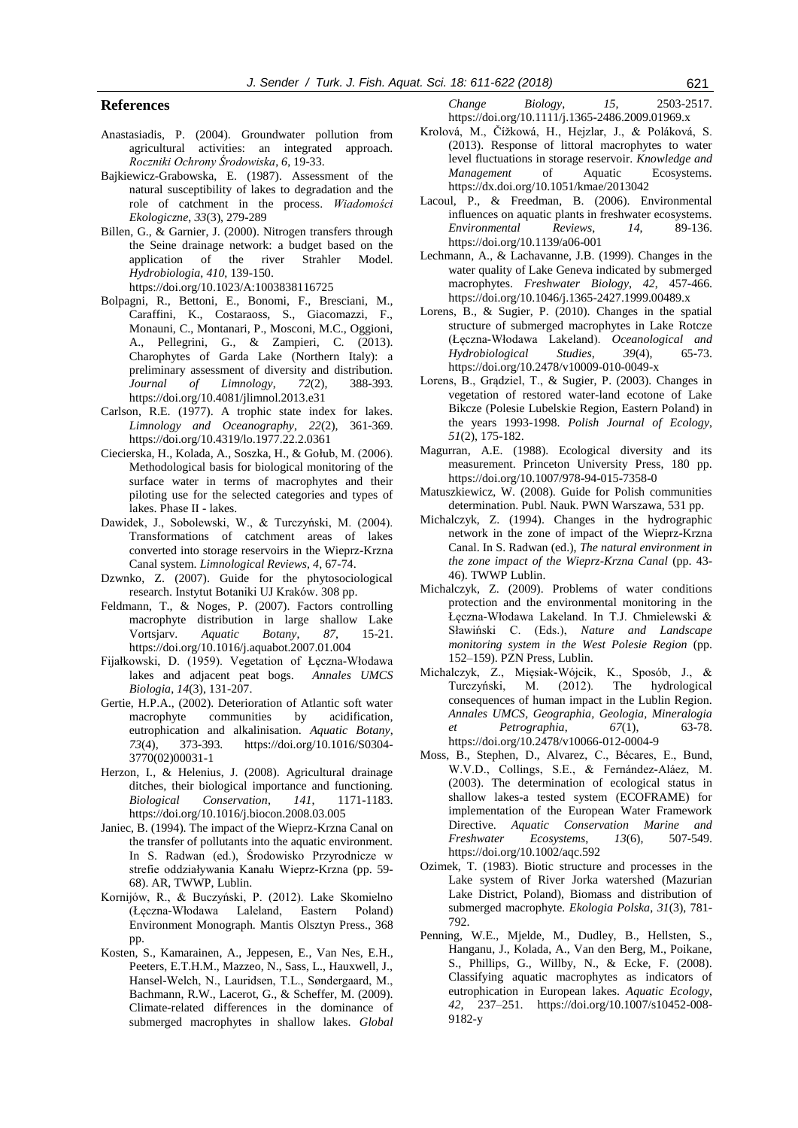#### **References**

- Anastasiadis, P. (2004). Groundwater pollution from agricultural activities: an integrated approach. *Roczniki Ochrony Środowiska*, *6*, 19-33.
- Bajkiewicz-Grabowska, E. (1987). Assessment of the natural susceptibility of lakes to degradation and the role of catchment in the process. *Wiadomości Ekologiczne*, *33*(3), 279-289
- Billen, G., & Garnier, J. (2000). Nitrogen transfers through the Seine drainage network: a budget based on the application of the river Strahler Model. *Hydrobiologia*, *410*, 139-150. https://doi.org/10.1023/A:1003838116725
- Bolpagni, R., Bettoni, E., Bonomi, F., Bresciani, M., Caraffini, K., Costaraoss, S., Giacomazzi, F., Monauni, C., Montanari, P., Mosconi, M.C., Oggioni, A., Pellegrini, G., & Zampieri, C. (2013). Charophytes of Garda Lake (Northern Italy): a preliminary assessment of diversity and distribution. *Journal of Limnology*, *72*(2), 388-393. https://doi.org/10.4081/jlimnol.2013.e31
- Carlson, R.E. (1977). A trophic state index for lakes. *Limnology and Oceanography*, *22*(2), 361-369. https://doi.org/10.4319/lo.1977.22.2.0361
- Ciecierska, H., Kolada, A., Soszka, H., & Gołub, M. (2006). Methodological basis for biological monitoring of the surface water in terms of macrophytes and their piloting use for the selected categories and types of lakes. Phase II - lakes.
- Dawidek, J., Sobolewski, W., & Turczyński, M. (2004). Transformations of catchment areas of lakes converted into storage reservoirs in the Wieprz-Krzna Canal system. *Limnological Reviews*, *4*, 67-74.
- Dzwnko, Z. (2007). Guide for the phytosociological research. Instytut Botaniki UJ Kraków. 308 pp.
- Feldmann, T., & Noges, P. (2007). Factors controlling macrophyte distribution in large shallow Lake Vortsjarv. *Aquatic Botany*, *87*, 15-21. https://doi.org/10.1016/j.aquabot.2007.01.004
- Fijałkowski, D. (1959). Vegetation of Łęczna-Włodawa lakes and adjacent peat bogs. *Annales UMCS Biologia*, *14*(3), 131-207.
- Gertie, H.P.A., (2002). Deterioration of Atlantic soft water macrophyte communities by acidification, eutrophication and alkalinisation. *Aquatic Botany*, *73*(4), 373-393. https://doi.org/10.1016/S0304- 3770(02)00031-1
- Herzon, I., & Helenius, J. (2008). Agricultural drainage ditches, their biological importance and functioning. *Biological Conservation*, *141*, 1171-1183. https://doi.org/10.1016/j.biocon.2008.03.005
- Janiec, B. (1994). The impact of the Wieprz-Krzna Canal on the transfer of pollutants into the aquatic environment. In S. Radwan (ed.), Środowisko Przyrodnicze w strefie oddziaływania Kanału Wieprz-Krzna (pp. 59- 68). AR, TWWP, Lublin.
- Kornijów, R., & Buczyński, P. (2012). Lake Skomielno (Łęczna-Włodawa Laleland, Eastern Poland) Environment Monograph. Mantis Olsztyn Press., 368 pp.
- Kosten, S., Kamarainen, A., Jeppesen, E., Van Nes, E.H., Peeters, E.T.H.M., Mazzeo, N., Sass, L., Hauxwell, J., Hansel-Welch, N., Lauridsen, T.L., Søndergaard, M., Bachmann, R.W., Lacerot, G., & Scheffer, M. (2009). Climate-related differences in the dominance of submerged macrophytes in shallow lakes. *Global*

*Change Biology*, *15*, 2503-2517. https://doi.org/10.1111/j.1365-2486.2009.01969.x

- Krolová, M., Čížkowá, H., Hejzlar, J., & Poláková, S. (2013). Response of littoral macrophytes to water level fluctuations in storage reservoir. *Knowledge and Management* of Aquatic Ecosystems. https://dx.doi.org/10.1051/kmae/2013042
- Lacoul, P., & Freedman, B. (2006). Environmental influences on aquatic plants in freshwater ecosystems. *Environmental Reviews*, *14*, 89-136. https://doi.org/10.1139/a06-001
- Lechmann, A., & Lachavanne, J.B. (1999). Changes in the water quality of Lake Geneva indicated by submerged macrophytes. *Freshwater Biology*, *42*, 457-466. https://doi.org/10.1046/j.1365-2427.1999.00489.x
- Lorens, B., & Sugier, P. (2010). Changes in the spatial structure of submerged macrophytes in Lake Rotcze (Łęczna-Włodawa Lakeland). *Oceanological and Hydrobiological Studies*, *39*(4), 65-73. https://doi.org/10.2478/v10009-010-0049-x
- Lorens, B., Grądziel, T., & Sugier, P. (2003). Changes in vegetation of restored water-land ecotone of Lake Bikcze (Polesie Lubelskie Region, Eastern Poland) in the years 1993-1998. *Polish Journal of Ecology*, *51*(2), 175-182.
- Magurran, A.E. (1988). Ecological diversity and its measurement. Princeton University Press, 180 pp. https://doi.org/10.1007/978-94-015-7358-0
- Matuszkiewicz, W. (2008). Guide for Polish communities determination. Publ. Nauk. PWN Warszawa, 531 pp.
- Michalczyk, Z. (1994). Changes in the hydrographic network in the zone of impact of the Wieprz-Krzna Canal. In S. Radwan (ed.), *The natural environment in the zone impact of the Wieprz-Krzna Canal* (pp. 43- 46). TWWP Lublin.
- Michalczyk, Z. (2009). Problems of water conditions protection and the environmental monitoring in the Łęczna-Włodawa Lakeland. In T.J. Chmielewski & Sławiński C. (Eds.), *Nature and Landscape monitoring system in the West Polesie Region* (pp. 152–159). PZN Press, Lublin.
- Michalczyk, Z., Mięsiak-Wójcik, K., Sposób, J., & Turczyński, M. (2012). The hydrological consequences of human impact in the Lublin Region. *Annales UMCS, Geographia, Geologia, Mineralogia et Petrographia*, *67*(1), 63-78. https://doi.org/10.2478/v10066-012-0004-9
- Moss, B., Stephen, D., Alvarez, C., Bécares, E., Bund, W.V.D., Collings, S.E., & Fernández-Aláez, M. (2003). The determination of ecological status in shallow lakes-a tested system (ECOFRAME) for implementation of the European Water Framework Directive. *Aquatic Conservation Marine and Freshwater Ecosystems*, *13*(6), 507-549. https://doi.org/10.1002/aqc.592
- Ozimek, T. (1983). Biotic structure and processes in the Lake system of River Jorka watershed (Mazurian Lake District, Poland), Biomass and distribution of submerged macrophyte*. Ekologia Polska*, *31*(3), 781- 792.
- Penning, W.E., Mjelde, M., Dudley, B., Hellsten, S., Hanganu, J., Kolada, A., Van den Berg, M., Poikane, S., Phillips, G., Willby, N., & Ecke, F. (2008). Classifying aquatic macrophytes as indicators of eutrophication in European lakes. *Aquatic Ecology*, *42*, 237–251. https://doi.org/10.1007/s10452-008- 9182-y